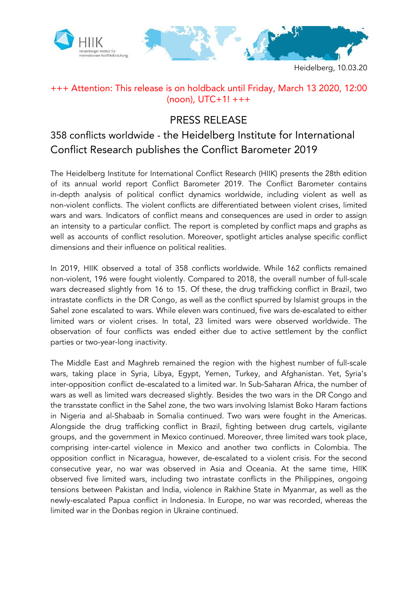

Heidelberg, 10.03.20

## +++ Attention: This release is on holdback until Friday, March 13 2020, 12:00 (noon), UTC+1! +++

## PRESS RELEASE

## 358 conflicts worldwide - the Heidelberg Institute for International Conflict Research publishes the Conflict Barometer 2019

The Heidelberg Institute for International Conflict Research (HIIK) presents the 28th edition of its annual world report Conflict Barometer 2019. The Conflict Barometer contains in-depth analysis of political conflict dynamics worldwide, including violent as well as non-violent conflicts. The violent conflicts are differentiated between violent crises, limited wars and wars. Indicators of conflict means and consequences are used in order to assign an intensity to a particular conflict. The report is completed by conflict maps and graphs as well as accounts of conflict resolution. Moreover, spotlight articles analyse specific conflict dimensions and their influence on political realities.

In 2019, HIIK observed a total of 358 conflicts worldwide. While 162 conflicts remained non-violent, 196 were fought violently. Compared to 2018, the overall number of full-scale wars decreased slightly from 16 to 15. Of these, the drug trafficking conflict in Brazil, two intrastate conflicts in the DR Congo, as well as the conflict spurred by Islamist groups in the Sahel zone escalated to wars. While eleven wars continued, five wars de-escalated to either limited wars or violent crises. In total, 23 limited wars were observed worldwide. The observation of four conflicts was ended either due to active settlement by the conflict parties or two-year-long inactivity.

The Middle East and Maghreb remained the region with the highest number of full-scale wars, taking place in Syria, Libya, Egypt, Yemen, Turkey, and Afghanistan. Yet, Syria's inter-opposition conflict de-escalated to a limited war. In Sub-Saharan Africa, the number of wars as well as limited wars decreased slightly. Besides the two wars in the DR Congo and the transstate conflict in the Sahel zone, the two wars involving Islamist Boko Haram factions in Nigeria and al-Shabaab in Somalia continued. Two wars were fought in the Americas. Alongside the drug trafficking conflict in Brazil, fighting between drug cartels, vigilante groups, and the government in Mexico continued. Moreover, three limited wars took place, comprising inter-cartel violence in Mexico and another two conflicts in Colombia. The opposition conflict in Nicaragua, however, de-escalated to a violent crisis. For the second consecutive year, no war was observed in Asia and Oceania. At the same time, HIIK observed five limited wars, including two intrastate conflicts in the Philippines, ongoing tensions between Pakistan and India, violence in Rakhine State in Myanmar, as well as the newly-escalated Papua conflict in Indonesia. In Europe, no war was recorded, whereas the limited war in the Donbas region in Ukraine continued.